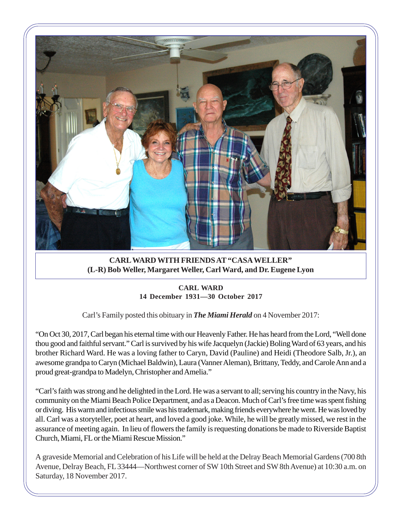

**CARL WARD WITH FRIENDS AT "CASA WELLER" (L-R) Bob Weller, Margaret Weller, Carl Ward, and Dr. Eugene Lyon**

## **CARL WARD 14 December 1931—30 October 2017**

Carl's Family posted this obituary in *The Miami Herald* on 4 November 2017:

"On Oct 30, 2017, Carl began his eternal time with our Heavenly Father. He has heard from the Lord, "Well done thou good and faithful servant." Carl is survived by his wife Jacquelyn (Jackie) Boling Ward of 63 years, and his brother Richard Ward. He was a loving father to Caryn, David (Pauline) and Heidi (Theodore Salb, Jr.), an awesome grandpa to Caryn (Michael Baldwin), Laura (Vanner Aleman), Brittany, Teddy, and Carole Ann and a proud great-grandpa to Madelyn, Christopher and Amelia."

"Carl's faith was strong and he delighted in the Lord. He was a servant to all; serving his country in the Navy, his community on the Miami Beach Police Department, and as a Deacon. Much of Carl's free time was spent fishing or diving. His warm and infectious smile was his trademark, making friends everywhere he went. He was loved by all. Carl was a storyteller, poet at heart, and loved a good joke. While, he will be greatly missed, we rest in the assurance of meeting again. In lieu of flowers the family is requesting donations be made to Riverside Baptist Church, Miami, FL or the Miami Rescue Mission."

A graveside Memorial and Celebration of his Life will be held at the Delray Beach Memorial Gardens (700 8th Avenue, Delray Beach, FL 33444—Northwest corner of SW 10th Street and SW 8th Avenue) at 10:30 a.m. on Saturday, 18 November 2017.